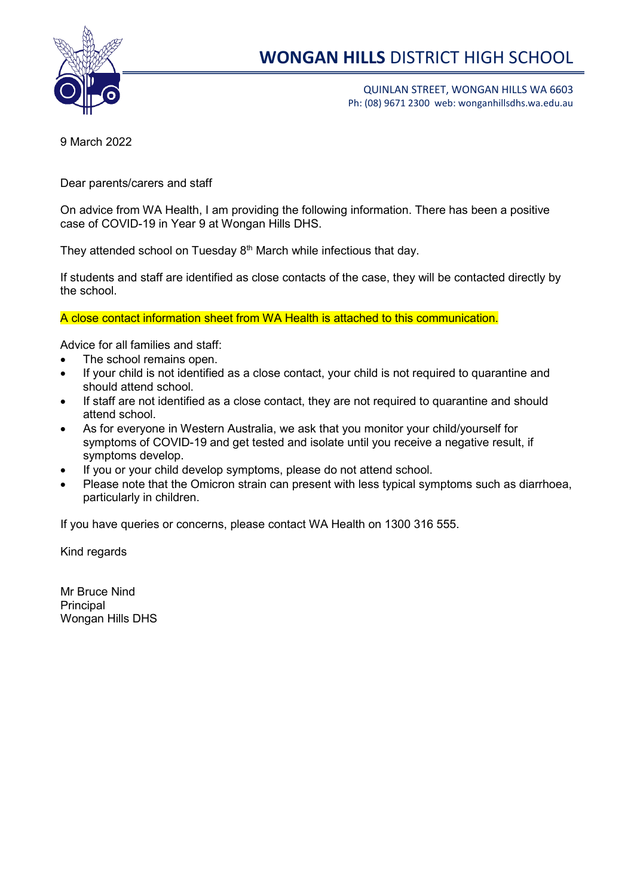

# **WONGAN HILLS** DISTRICT HIGH SCHOOL

QUINLAN STREET, WONGAN HILLS WA 6603 Ph: (08) 9671 2300 web: wonganhillsdhs.wa.edu.au

9 March 2022

Dear parents/carers and staff

On advice from WA Health, I am providing the following information. There has been a positive case of COVID-19 in Year 9 at Wongan Hills DHS.

They attended school on Tuesday 8<sup>th</sup> March while infectious that day.

If students and staff are identified as close contacts of the case, they will be contacted directly by the school.

A close contact information sheet from WA Health is attached to this communication.

Advice for all families and staff:

- The school remains open.
- If your child is not identified as a close contact, your child is not required to quarantine and should attend school.
- If staff are not identified as a close contact, they are not required to quarantine and should attend school.
- As for everyone in Western Australia, we ask that you monitor your child/yourself for symptoms of COVID-19 and get tested and isolate until you receive a negative result, if symptoms develop.
- If you or your child develop symptoms, please do not attend school.
- Please note that the Omicron strain can present with less typical symptoms such as diarrhoea. particularly in children.

If you have queries or concerns, please contact WA Health on 1300 316 555.

Kind regards

Mr Bruce Nind **Principal** Wongan Hills DHS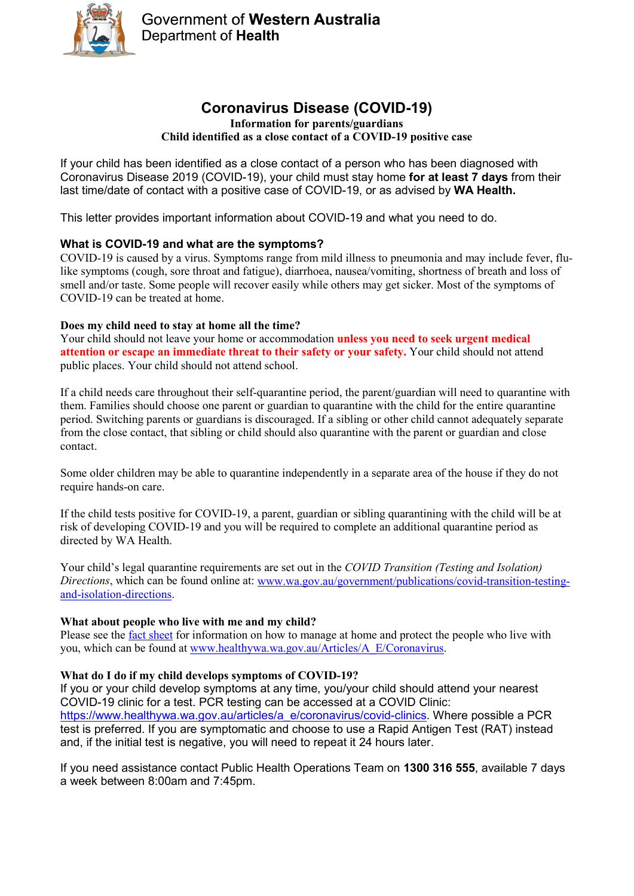

# **Coronavirus Disease (COVID-19)**

#### **Information for parents/guardians Child identified as a close contact of a COVID-19 positive case**

If your child has been identified as a close contact of a person who has been diagnosed with Coronavirus Disease 2019 (COVID-19), your child must stay home **for at least 7 days** from their last time/date of contact with a positive case of COVID-19, or as advised by **WA Health.**

This letter provides important information about COVID-19 and what you need to do.

### **What is COVID-19 and what are the symptoms?**

COVID-19 is caused by a virus. Symptoms range from mild illness to pneumonia and may include fever, flulike symptoms (cough, sore throat and fatigue), diarrhoea, nausea/vomiting, shortness of breath and loss of smell and/or taste. Some people will recover easily while others may get sicker. Most of the symptoms of COVID-19 can be treated at home.

#### **Does my child need to stay at home all the time?**

Your child should not leave your home or accommodation **unless you need to seek urgent medical attention or escape an immediate threat to their safety or your safety.** Your child should not attend public places. Your child should not attend school.

If a child needs care throughout their self-quarantine period, the parent/guardian will need to quarantine with them. Families should choose one parent or guardian to quarantine with the child for the entire quarantine period. Switching parents or guardians is discouraged. If a sibling or other child cannot adequately separate from the close contact, that sibling or child should also quarantine with the parent or guardian and close contact.

Some older children may be able to quarantine independently in a separate area of the house if they do not require hands-on care.

If the child tests positive for COVID-19, a parent, guardian or sibling quarantining with the child will be at risk of developing COVID-19 and you will be required to complete an additional quarantine period as directed by WA Health.

Your child's legal quarantine requirements are set out in the *COVID Transition (Testing and Isolation) Directions*, which can be found online at: [www.wa.gov.au/government/publications/covid-transition-testing](http://www.wa.gov.au/government/publications/covid-transition-testing-and-isolation-directions)[and-isolation-directions.](http://www.wa.gov.au/government/publications/covid-transition-testing-and-isolation-directions)

### **What about people who live with me and my child?**

Please see the [fact sheet](https://healthywa.wa.gov.au/Articles/A_E/Coronavirus) for information on how to manage at home and protect the people who live with you, which can be found at [www.healthywa.wa.gov.au/Articles/A\\_E/Coronavirus.](http://www.healthywa.wa.gov.au/Articles/A_E/Coronavirus)

### **What do I do if my child develops symptoms of COVID-19?**

If you or your child develop symptoms at any time, you/your child should attend your nearest COVID-19 clinic for a test. PCR testing can be accessed at a COVID Clinic: [https://www.healthywa.wa.gov.au/articles/a\\_e/coronavirus/covid-clinics.](https://www.healthywa.wa.gov.au/articles/a_e/coronavirus/covid-clinics) Where possible a PCR test is preferred. If you are symptomatic and choose to use a Rapid Antigen Test (RAT) instead and, if the initial test is negative, you will need to repeat it 24 hours later.

If you need assistance contact Public Health Operations Team on **1300 316 555**, available 7 days a week between 8:00am and 7:45pm.